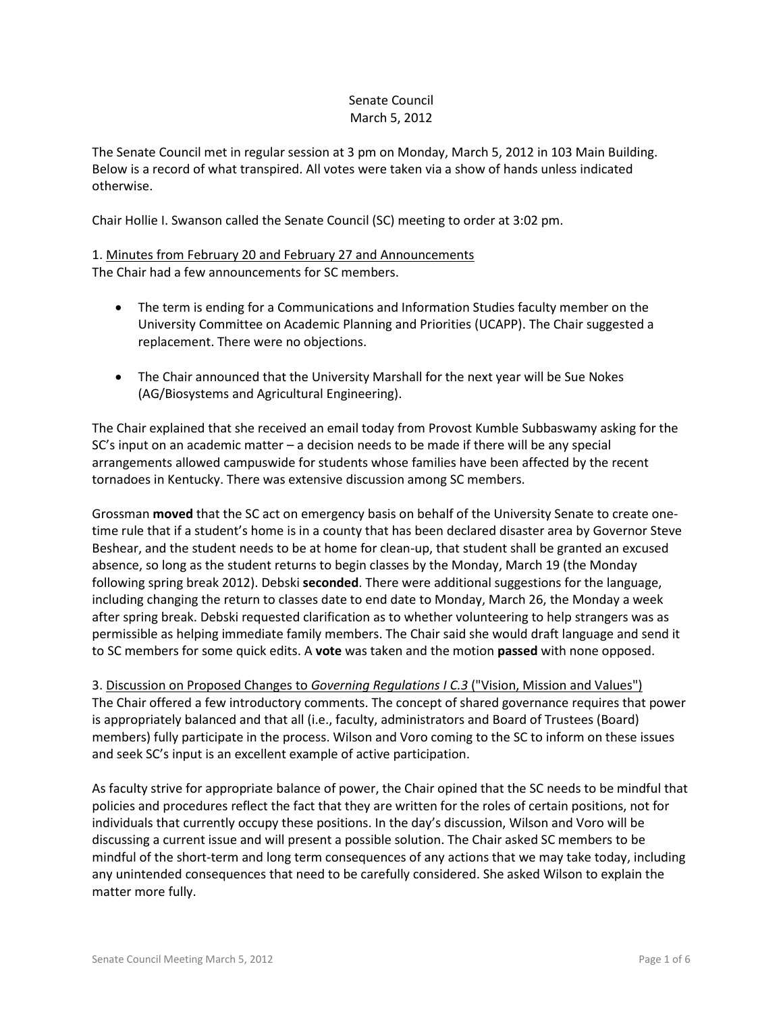## Senate Council March 5, 2012

The Senate Council met in regular session at 3 pm on Monday, March 5, 2012 in 103 Main Building. Below is a record of what transpired. All votes were taken via a show of hands unless indicated otherwise.

Chair Hollie I. Swanson called the Senate Council (SC) meeting to order at 3:02 pm.

# 1. Minutes from February 20 and February 27 and Announcements The Chair had a few announcements for SC members.

- The term is ending for a Communications and Information Studies faculty member on the University Committee on Academic Planning and Priorities (UCAPP). The Chair suggested a replacement. There were no objections.
- The Chair announced that the University Marshall for the next year will be Sue Nokes (AG/Biosystems and Agricultural Engineering).

The Chair explained that she received an email today from Provost Kumble Subbaswamy asking for the SC's input on an academic matter – a decision needs to be made if there will be any special arrangements allowed campuswide for students whose families have been affected by the recent tornadoes in Kentucky. There was extensive discussion among SC members.

Grossman **moved** that the SC act on emergency basis on behalf of the University Senate to create onetime rule that if a student's home is in a county that has been declared disaster area by Governor Steve Beshear, and the student needs to be at home for clean-up, that student shall be granted an excused absence, so long as the student returns to begin classes by the Monday, March 19 (the Monday following spring break 2012). Debski **seconded**. There were additional suggestions for the language, including changing the return to classes date to end date to Monday, March 26, the Monday a week after spring break. Debski requested clarification as to whether volunteering to help strangers was as permissible as helping immediate family members. The Chair said she would draft language and send it to SC members for some quick edits. A **vote** was taken and the motion **passed** with none opposed.

3. Discussion on Proposed Changes to *Governing Regulations I C.3* ("Vision, Mission and Values") The Chair offered a few introductory comments. The concept of shared governance requires that power is appropriately balanced and that all (i.e., faculty, administrators and Board of Trustees (Board) members) fully participate in the process. Wilson and Voro coming to the SC to inform on these issues and seek SC's input is an excellent example of active participation.

As faculty strive for appropriate balance of power, the Chair opined that the SC needs to be mindful that policies and procedures reflect the fact that they are written for the roles of certain positions, not for individuals that currently occupy these positions. In the day's discussion, Wilson and Voro will be discussing a current issue and will present a possible solution. The Chair asked SC members to be mindful of the short-term and long term consequences of any actions that we may take today, including any unintended consequences that need to be carefully considered. She asked Wilson to explain the matter more fully.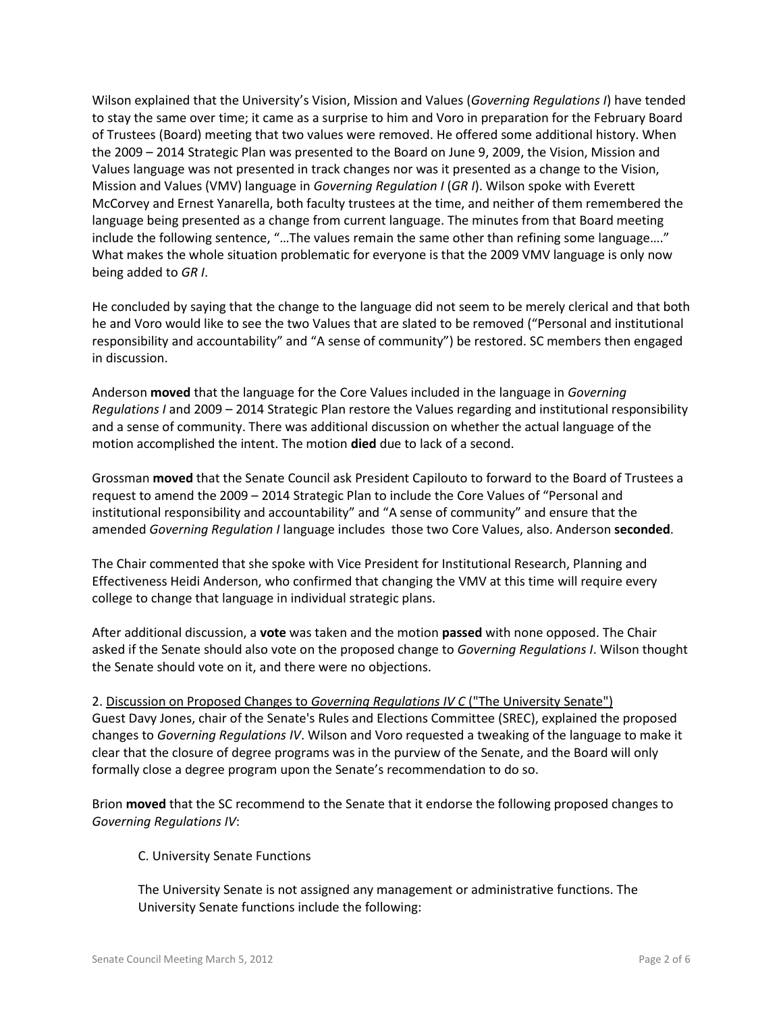Wilson explained that the University's Vision, Mission and Values (*Governing Regulations I*) have tended to stay the same over time; it came as a surprise to him and Voro in preparation for the February Board of Trustees (Board) meeting that two values were removed. He offered some additional history. When the 2009 – 2014 Strategic Plan was presented to the Board on June 9, 2009, the Vision, Mission and Values language was not presented in track changes nor was it presented as a change to the Vision, Mission and Values (VMV) language in *Governing Regulation I* (*GR I*). Wilson spoke with Everett McCorvey and Ernest Yanarella, both faculty trustees at the time, and neither of them remembered the language being presented as a change from current language. The minutes from that Board meeting include the following sentence, "…The values remain the same other than refining some language…." What makes the whole situation problematic for everyone is that the 2009 VMV language is only now being added to *GR I*.

He concluded by saying that the change to the language did not seem to be merely clerical and that both he and Voro would like to see the two Values that are slated to be removed ("Personal and institutional responsibility and accountability" and "A sense of community") be restored. SC members then engaged in discussion.

Anderson **moved** that the language for the Core Values included in the language in *Governing Regulations I* and 2009 – 2014 Strategic Plan restore the Values regarding and institutional responsibility and a sense of community. There was additional discussion on whether the actual language of the motion accomplished the intent. The motion **died** due to lack of a second.

Grossman **moved** that the Senate Council ask President Capilouto to forward to the Board of Trustees a request to amend the 2009 – 2014 Strategic Plan to include the Core Values of "Personal and institutional responsibility and accountability" and "A sense of community" and ensure that the amended *Governing Regulation I* language includes those two Core Values, also. Anderson **seconded**.

The Chair commented that she spoke with Vice President for Institutional Research, Planning and Effectiveness Heidi Anderson, who confirmed that changing the VMV at this time will require every college to change that language in individual strategic plans.

After additional discussion, a **vote** was taken and the motion **passed** with none opposed. The Chair asked if the Senate should also vote on the proposed change to *Governing Regulations I*. Wilson thought the Senate should vote on it, and there were no objections.

2. Discussion on Proposed Changes to *Governing Regulations IV C* ("The University Senate") Guest Davy Jones, chair of the Senate's Rules and Elections Committee (SREC), explained the proposed changes to *Governing Regulations IV*. Wilson and Voro requested a tweaking of the language to make it clear that the closure of degree programs was in the purview of the Senate, and the Board will only formally close a degree program upon the Senate's recommendation to do so.

Brion **moved** that the SC recommend to the Senate that it endorse the following proposed changes to *Governing Regulations IV*:

C. University Senate Functions

The University Senate is not assigned any management or administrative functions. The University Senate functions include the following: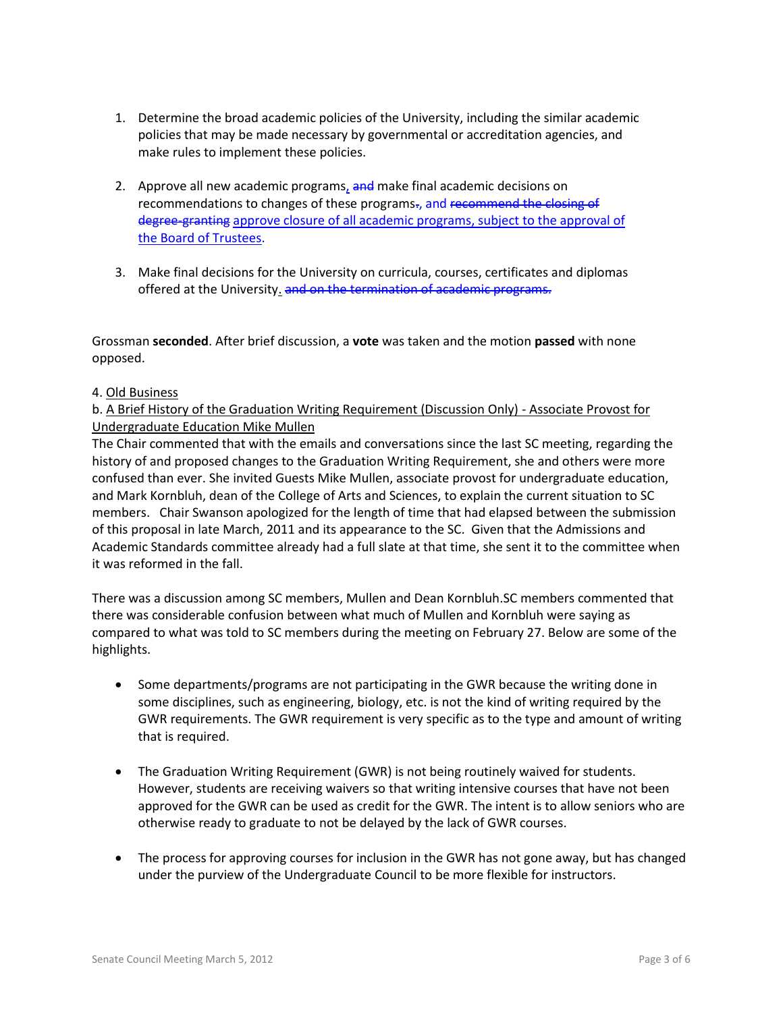- 1. Determine the broad academic policies of the University, including the similar academic policies that may be made necessary by governmental or accreditation agencies, and make rules to implement these policies.
- 2. Approve all new academic programs, and make final academic decisions on recommendations to changes of these programs-, and recommend the closing of degree-granting approve closure of all academic programs, subject to the approval of the Board of Trustees.
- 3. Make final decisions for the University on curricula, courses, certificates and diplomas offered at the University. and on the termination of academic programs.

Grossman **seconded**. After brief discussion, a **vote** was taken and the motion **passed** with none opposed.

## 4. Old Business

# b. A Brief History of the Graduation Writing Requirement (Discussion Only) - Associate Provost for Undergraduate Education Mike Mullen

The Chair commented that with the emails and conversations since the last SC meeting, regarding the history of and proposed changes to the Graduation Writing Requirement, she and others were more confused than ever. She invited Guests Mike Mullen, associate provost for undergraduate education, and Mark Kornbluh, dean of the College of Arts and Sciences, to explain the current situation to SC members. Chair Swanson apologized for the length of time that had elapsed between the submission of this proposal in late March, 2011 and its appearance to the SC. Given that the Admissions and Academic Standards committee already had a full slate at that time, she sent it to the committee when it was reformed in the fall.

There was a discussion among SC members, Mullen and Dean Kornbluh.SC members commented that there was considerable confusion between what much of Mullen and Kornbluh were saying as compared to what was told to SC members during the meeting on February 27. Below are some of the highlights.

- Some departments/programs are not participating in the GWR because the writing done in some disciplines, such as engineering, biology, etc. is not the kind of writing required by the GWR requirements. The GWR requirement is very specific as to the type and amount of writing that is required.
- The Graduation Writing Requirement (GWR) is not being routinely waived for students. However, students are receiving waivers so that writing intensive courses that have not been approved for the GWR can be used as credit for the GWR. The intent is to allow seniors who are otherwise ready to graduate to not be delayed by the lack of GWR courses.
- The process for approving courses for inclusion in the GWR has not gone away, but has changed under the purview of the Undergraduate Council to be more flexible for instructors.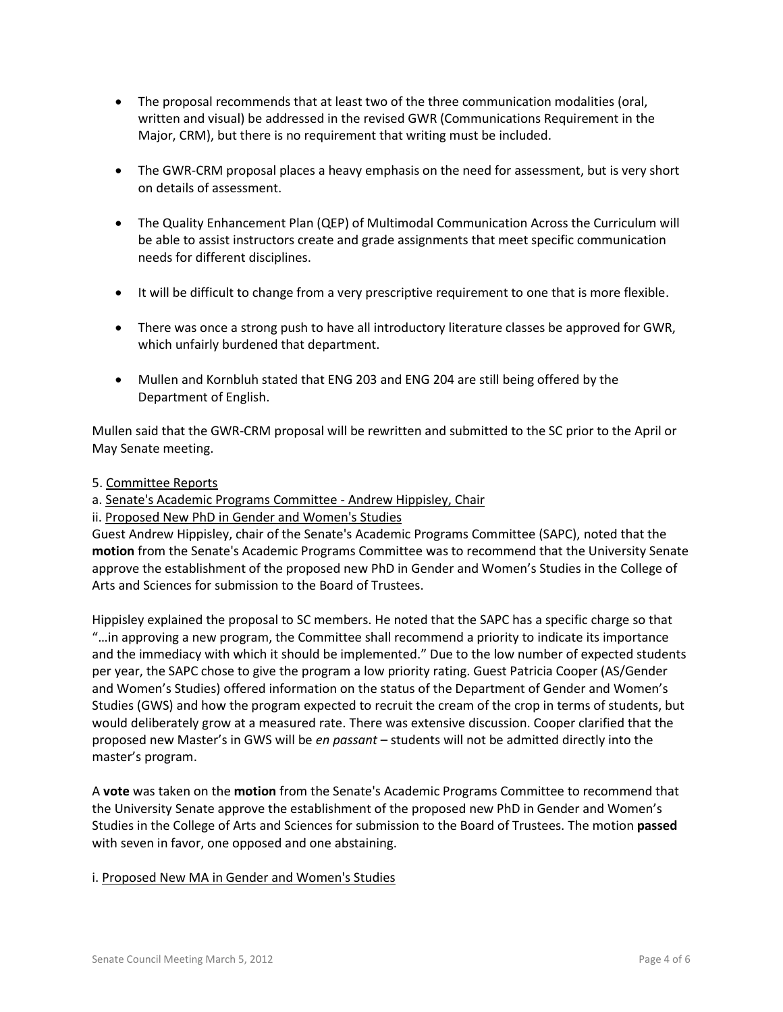- The proposal recommends that at least two of the three communication modalities (oral, written and visual) be addressed in the revised GWR (Communications Requirement in the Major, CRM), but there is no requirement that writing must be included.
- The GWR-CRM proposal places a heavy emphasis on the need for assessment, but is very short on details of assessment.
- The Quality Enhancement Plan (QEP) of Multimodal Communication Across the Curriculum will be able to assist instructors create and grade assignments that meet specific communication needs for different disciplines.
- It will be difficult to change from a very prescriptive requirement to one that is more flexible.
- There was once a strong push to have all introductory literature classes be approved for GWR, which unfairly burdened that department.
- Mullen and Kornbluh stated that ENG 203 and ENG 204 are still being offered by the Department of English.

Mullen said that the GWR-CRM proposal will be rewritten and submitted to the SC prior to the April or May Senate meeting.

- 5. Committee Reports
- a. Senate's Academic Programs Committee Andrew Hippisley, Chair
- ii. Proposed New PhD in Gender and Women's Studies

Guest Andrew Hippisley, chair of the Senate's Academic Programs Committee (SAPC), noted that the **motion** from the Senate's Academic Programs Committee was to recommend that the University Senate approve the establishment of the proposed new PhD in Gender and Women's Studies in the College of Arts and Sciences for submission to the Board of Trustees.

Hippisley explained the proposal to SC members. He noted that the SAPC has a specific charge so that "…in approving a new program, the Committee shall recommend a priority to indicate its importance and the immediacy with which it should be implemented." Due to the low number of expected students per year, the SAPC chose to give the program a low priority rating. Guest Patricia Cooper (AS/Gender and Women's Studies) offered information on the status of the Department of Gender and Women's Studies (GWS) and how the program expected to recruit the cream of the crop in terms of students, but would deliberately grow at a measured rate. There was extensive discussion. Cooper clarified that the proposed new Master's in GWS will be *en passant* – students will not be admitted directly into the master's program.

A **vote** was taken on the **motion** from the Senate's Academic Programs Committee to recommend that the University Senate approve the establishment of the proposed new PhD in Gender and Women's Studies in the College of Arts and Sciences for submission to the Board of Trustees. The motion **passed** with seven in favor, one opposed and one abstaining.

i. Proposed New MA in Gender and Women's Studies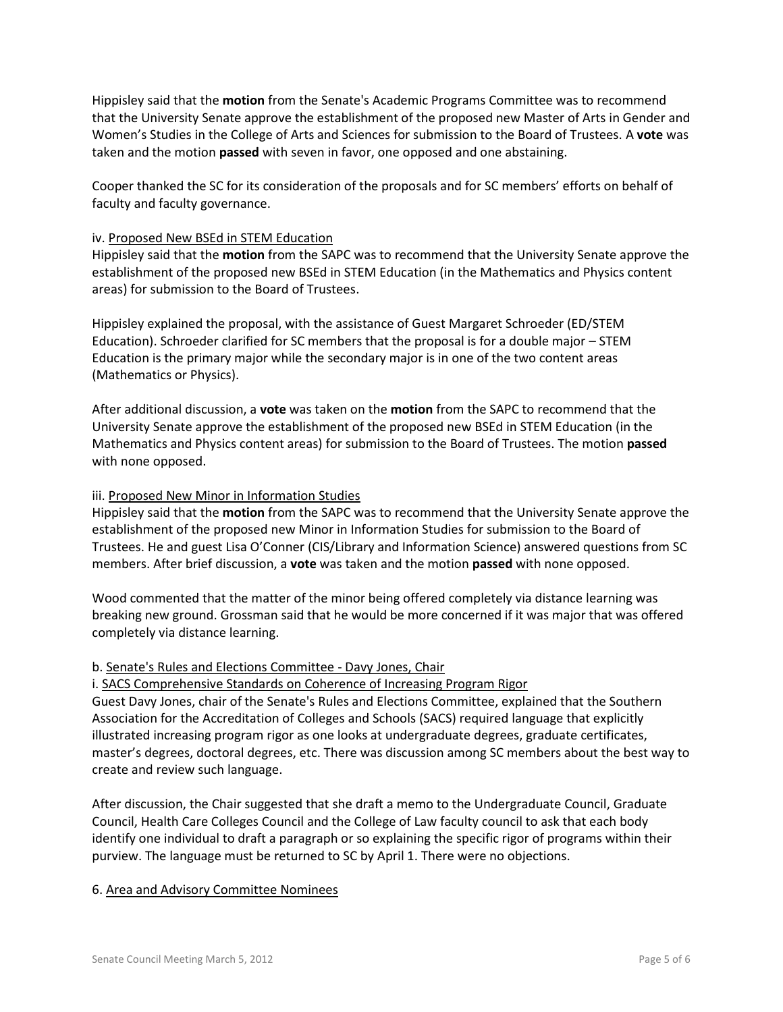Hippisley said that the **motion** from the Senate's Academic Programs Committee was to recommend that the University Senate approve the establishment of the proposed new Master of Arts in Gender and Women's Studies in the College of Arts and Sciences for submission to the Board of Trustees. A **vote** was taken and the motion **passed** with seven in favor, one opposed and one abstaining.

Cooper thanked the SC for its consideration of the proposals and for SC members' efforts on behalf of faculty and faculty governance.

## iv. Proposed New BSEd in STEM Education

Hippisley said that the **motion** from the SAPC was to recommend that the University Senate approve the establishment of the proposed new BSEd in STEM Education (in the Mathematics and Physics content areas) for submission to the Board of Trustees.

Hippisley explained the proposal, with the assistance of Guest Margaret Schroeder (ED/STEM Education). Schroeder clarified for SC members that the proposal is for a double major – STEM Education is the primary major while the secondary major is in one of the two content areas (Mathematics or Physics).

After additional discussion, a **vote** was taken on the **motion** from the SAPC to recommend that the University Senate approve the establishment of the proposed new BSEd in STEM Education (in the Mathematics and Physics content areas) for submission to the Board of Trustees. The motion **passed** with none opposed.

### iii. Proposed New Minor in Information Studies

Hippisley said that the **motion** from the SAPC was to recommend that the University Senate approve the establishment of the proposed new Minor in Information Studies for submission to the Board of Trustees. He and guest Lisa O'Conner (CIS/Library and Information Science) answered questions from SC members. After brief discussion, a **vote** was taken and the motion **passed** with none opposed.

Wood commented that the matter of the minor being offered completely via distance learning was breaking new ground. Grossman said that he would be more concerned if it was major that was offered completely via distance learning.

#### b. Senate's Rules and Elections Committee - Davy Jones, Chair

i. SACS Comprehensive Standards on Coherence of Increasing Program Rigor

Guest Davy Jones, chair of the Senate's Rules and Elections Committee, explained that the Southern Association for the Accreditation of Colleges and Schools (SACS) required language that explicitly illustrated increasing program rigor as one looks at undergraduate degrees, graduate certificates, master's degrees, doctoral degrees, etc. There was discussion among SC members about the best way to create and review such language.

After discussion, the Chair suggested that she draft a memo to the Undergraduate Council, Graduate Council, Health Care Colleges Council and the College of Law faculty council to ask that each body identify one individual to draft a paragraph or so explaining the specific rigor of programs within their purview. The language must be returned to SC by April 1. There were no objections.

#### 6. Area and Advisory Committee Nominees